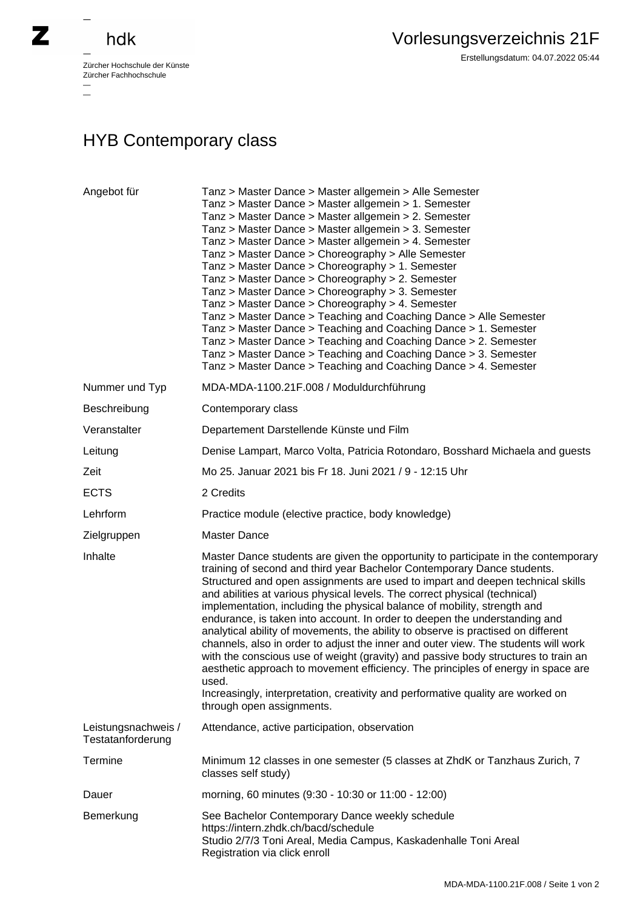## hdk

—

 $\equiv$ 

Zürcher Hochschule der Künste Zürcher Fachhochschule —

## HYB Contemporary class

| Angebot für                              | Tanz > Master Dance > Master allgemein > Alle Semester<br>Tanz > Master Dance > Master allgemein > 1. Semester<br>Tanz > Master Dance > Master allgemein > 2. Semester<br>Tanz > Master Dance > Master allgemein > 3. Semester<br>Tanz > Master Dance > Master allgemein > 4. Semester<br>Tanz > Master Dance > Choreography > Alle Semester<br>Tanz > Master Dance > Choreography > 1. Semester<br>Tanz > Master Dance > Choreography > 2. Semester<br>Tanz > Master Dance > Choreography > 3. Semester<br>Tanz > Master Dance > Choreography > 4. Semester<br>Tanz > Master Dance > Teaching and Coaching Dance > Alle Semester<br>Tanz > Master Dance > Teaching and Coaching Dance > 1. Semester<br>Tanz > Master Dance > Teaching and Coaching Dance > 2. Semester<br>Tanz > Master Dance > Teaching and Coaching Dance > 3. Semester<br>Tanz > Master Dance > Teaching and Coaching Dance > 4. Semester                                                         |
|------------------------------------------|-----------------------------------------------------------------------------------------------------------------------------------------------------------------------------------------------------------------------------------------------------------------------------------------------------------------------------------------------------------------------------------------------------------------------------------------------------------------------------------------------------------------------------------------------------------------------------------------------------------------------------------------------------------------------------------------------------------------------------------------------------------------------------------------------------------------------------------------------------------------------------------------------------------------------------------------------------------------------|
| Nummer und Typ                           | MDA-MDA-1100.21F.008 / Moduldurchführung                                                                                                                                                                                                                                                                                                                                                                                                                                                                                                                                                                                                                                                                                                                                                                                                                                                                                                                              |
| Beschreibung                             | Contemporary class                                                                                                                                                                                                                                                                                                                                                                                                                                                                                                                                                                                                                                                                                                                                                                                                                                                                                                                                                    |
| Veranstalter                             | Departement Darstellende Künste und Film                                                                                                                                                                                                                                                                                                                                                                                                                                                                                                                                                                                                                                                                                                                                                                                                                                                                                                                              |
| Leitung                                  | Denise Lampart, Marco Volta, Patricia Rotondaro, Bosshard Michaela and guests                                                                                                                                                                                                                                                                                                                                                                                                                                                                                                                                                                                                                                                                                                                                                                                                                                                                                         |
| Zeit                                     | Mo 25. Januar 2021 bis Fr 18. Juni 2021 / 9 - 12:15 Uhr                                                                                                                                                                                                                                                                                                                                                                                                                                                                                                                                                                                                                                                                                                                                                                                                                                                                                                               |
| <b>ECTS</b>                              | 2 Credits                                                                                                                                                                                                                                                                                                                                                                                                                                                                                                                                                                                                                                                                                                                                                                                                                                                                                                                                                             |
| Lehrform                                 | Practice module (elective practice, body knowledge)                                                                                                                                                                                                                                                                                                                                                                                                                                                                                                                                                                                                                                                                                                                                                                                                                                                                                                                   |
| Zielgruppen                              | <b>Master Dance</b>                                                                                                                                                                                                                                                                                                                                                                                                                                                                                                                                                                                                                                                                                                                                                                                                                                                                                                                                                   |
| Inhalte                                  | Master Dance students are given the opportunity to participate in the contemporary<br>training of second and third year Bachelor Contemporary Dance students.<br>Structured and open assignments are used to impart and deepen technical skills<br>and abilities at various physical levels. The correct physical (technical)<br>implementation, including the physical balance of mobility, strength and<br>endurance, is taken into account. In order to deepen the understanding and<br>analytical ability of movements, the ability to observe is practised on different<br>channels, also in order to adjust the inner and outer view. The students will work<br>with the conscious use of weight (gravity) and passive body structures to train an<br>aesthetic approach to movement efficiency. The principles of energy in space are<br>used.<br>Increasingly, interpretation, creativity and performative quality are worked on<br>through open assignments. |
| Leistungsnachweis /<br>Testatanforderung | Attendance, active participation, observation                                                                                                                                                                                                                                                                                                                                                                                                                                                                                                                                                                                                                                                                                                                                                                                                                                                                                                                         |
| Termine                                  | Minimum 12 classes in one semester (5 classes at ZhdK or Tanzhaus Zurich, 7<br>classes self study)                                                                                                                                                                                                                                                                                                                                                                                                                                                                                                                                                                                                                                                                                                                                                                                                                                                                    |
| Dauer                                    | morning, 60 minutes (9:30 - 10:30 or 11:00 - 12:00)                                                                                                                                                                                                                                                                                                                                                                                                                                                                                                                                                                                                                                                                                                                                                                                                                                                                                                                   |
| Bemerkung                                | See Bachelor Contemporary Dance weekly schedule<br>https://intern.zhdk.ch/bacd/schedule<br>Studio 2/7/3 Toni Areal, Media Campus, Kaskadenhalle Toni Areal<br>Registration via click enroll                                                                                                                                                                                                                                                                                                                                                                                                                                                                                                                                                                                                                                                                                                                                                                           |